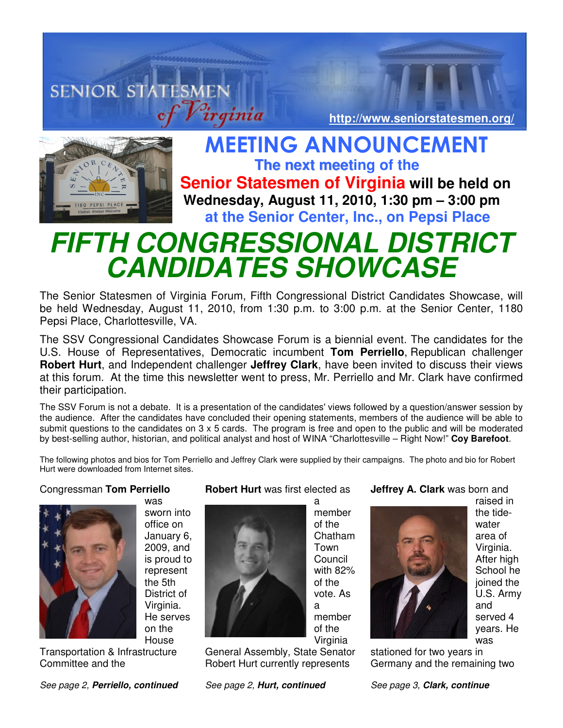# **SENIOR STATESMEN http://www.seniorstatesmen.org/**



 MEETING ANNOUNCEMENT **The next meeting of the Senior Statesmen of Virginia will be held on Wednesday, August 11, 2010, 1:30 pm – 3:00 pm at the Senior Center, Inc., on Pepsi Place** 

# **FIFTH CONGRESSIONAL DISTRICT CANDIDATES SHOWCASE**

The Senior Statesmen of Virginia Forum, Fifth Congressional District Candidates Showcase, will be held Wednesday, August 11, 2010, from 1:30 p.m. to 3:00 p.m. at the Senior Center, 1180 Pepsi Place, Charlottesville, VA.

The SSV Congressional Candidates Showcase Forum is a biennial event. The candidates for the U.S. House of Representatives, Democratic incumbent **Tom Perriello**, Republican challenger **Robert Hurt**, and Independent challenger **Jeffrey Clark**, have been invited to discuss their views at this forum. At the time this newsletter went to press, Mr. Perriello and Mr. Clark have confirmed their participation.

The SSV Forum is not a debate. It is a presentation of the candidates' views followed by a question/answer session by the audience. After the candidates have concluded their opening statements, members of the audience will be able to submit questions to the candidates on 3 x 5 cards. The program is free and open to the public and will be moderated by best-selling author, historian, and political analyst and host of WINA "Charlottesville – Right Now!" **Coy Barefoot**.

The following photos and bios for Tom Perriello and Jeffrey Clark were supplied by their campaigns. The photo and bio for Robert Hurt were downloaded from Internet sites.

## Congressman **Tom Perriello**



was sworn into office on January 6, 2009, and is proud to represent the 5th District of Virginia. He serves on the House

Transportation & Infrastructure Committee and the

See page 2, **Perriello, continued**

# **Robert Hurt** was first elected as

a

member

vote. As

member of the

a



Virginia General Assembly, State Senator Robert Hurt currently represents

See page 2, **Hurt, continued**

#### **Jeffrey A. Clark** was born and



raised in the tidewater area of Virginia. After high School he joined the U.S. Army and served 4 years. He was

stationed for two years in Germany and the remaining two

See page 3, **Clark, continue**

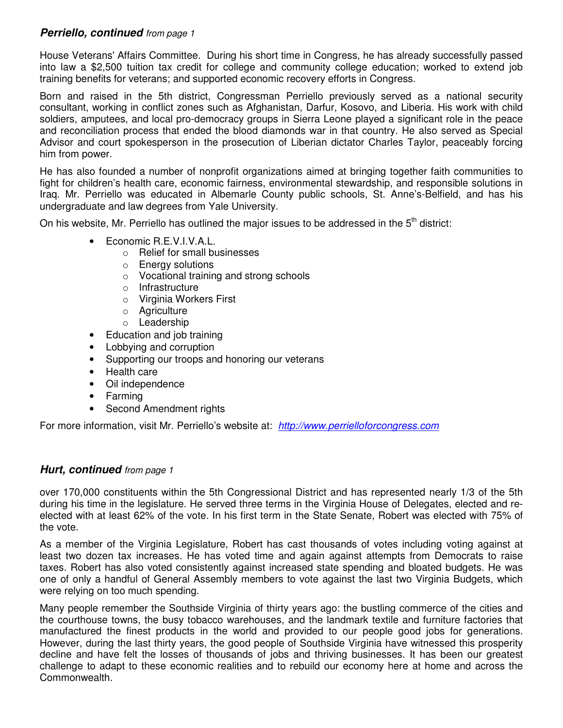# **Perriello, continued** from page 1

House Veterans' Affairs Committee. During his short time in Congress, he has already successfully passed into law a \$2,500 tuition tax credit for college and community college education; worked to extend job training benefits for veterans; and supported economic recovery efforts in Congress.

Born and raised in the 5th district, Congressman Perriello previously served as a national security consultant, working in conflict zones such as Afghanistan, Darfur, Kosovo, and Liberia. His work with child soldiers, amputees, and local pro-democracy groups in Sierra Leone played a significant role in the peace and reconciliation process that ended the blood diamonds war in that country. He also served as Special Advisor and court spokesperson in the prosecution of Liberian dictator Charles Taylor, peaceably forcing him from power.

He has also founded a number of nonprofit organizations aimed at bringing together faith communities to fight for children's health care, economic fairness, environmental stewardship, and responsible solutions in Iraq. Mr. Perriello was educated in Albemarle County public schools, St. Anne's-Belfield, and has his undergraduate and law degrees from Yale University.

On his website. Mr. Perriello has outlined the major issues to be addressed in the 5<sup>th</sup> district:

- Economic R.E.V.I.V.A.L.
	- o Relief for small businesses
	- o Energy solutions
	- o Vocational training and strong schools
	- o Infrastructure
	- o Virginia Workers First
	- o Agriculture
	- o Leadership
- Education and job training
- Lobbying and corruption
- Supporting our troops and honoring our veterans
- Health care
- Oil independence
- Farming
- Second Amendment rights

For more information, visit Mr. Perriello's website at: http://www.perrielloforcongress.com

#### **Hurt, continued** from page 1

over 170,000 constituents within the 5th Congressional District and has represented nearly 1/3 of the 5th during his time in the legislature. He served three terms in the Virginia House of Delegates, elected and reelected with at least 62% of the vote. In his first term in the State Senate, Robert was elected with 75% of the vote.

As a member of the Virginia Legislature, Robert has cast thousands of votes including voting against at least two dozen tax increases. He has voted time and again against attempts from Democrats to raise taxes. Robert has also voted consistently against increased state spending and bloated budgets. He was one of only a handful of General Assembly members to vote against the last two Virginia Budgets, which were relying on too much spending.

Many people remember the Southside Virginia of thirty years ago: the bustling commerce of the cities and the courthouse towns, the busy tobacco warehouses, and the landmark textile and furniture factories that manufactured the finest products in the world and provided to our people good jobs for generations. However, during the last thirty years, the good people of Southside Virginia have witnessed this prosperity decline and have felt the losses of thousands of jobs and thriving businesses. It has been our greatest challenge to adapt to these economic realities and to rebuild our economy here at home and across the Commonwealth.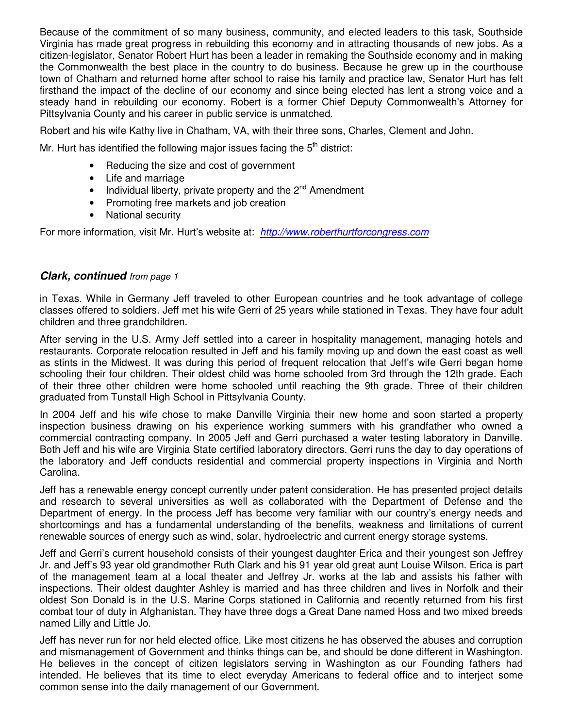Because of the commitment of so many business, community, and elected leaders to this task, Southside Virginia has made great progress in rebuilding this economy and in attracting thousands of new jobs. As a citizen-legislator, Senator Robert Hurt has been a leader in remaking the Southside economy and in making the Commonwealth the best place in the country to do business. Because he grew up in the courthouse town of Chatham and returned home after school to raise his family and practice law, Senator Hurt has felt firsthand the impact of the decline of our economy and since being elected has lent a strong voice and a steady hand in rebuilding our economy. Robert is a former Chief Deputy Commonwealth's Attorney for Pittsylvania County and his career in public service is unmatched.

Robert and his wife Kathy live in Chatham, VA, with their three sons, Charles, Clement and John.

Mr. Hurt has identified the following major issues facing the  $5<sup>th</sup>$  district:

- Reducing the size and cost of government
- Life and marriage
- Individual liberty, private property and the  $2^{nd}$  Amendment
- Promoting free markets and job creation
- National security

For more information, visit Mr. Hurt's website at: http://www.roberthurtforcongress.com

#### **Clark, continued** from page 1

in Texas. While in Germany Jeff traveled to other European countries and he took advantage of college classes offered to soldiers. Jeff met his wife Gerri of 25 years while stationed in Texas. They have four adult children and three grandchildren.

After serving in the U.S. Army Jeff settled into a career in hospitality management, managing hotels and restaurants. Corporate relocation resulted in Jeff and his family moving up and down the east coast as well as stints in the Midwest. It was during this period of frequent relocation that Jeff's wife Gerri began home schooling their four children. Their oldest child was home schooled from 3rd through the 12th grade. Each of their three other children were home schooled until reaching the 9th grade. Three of their children graduated from Tunstall High School in Pittsylvania County.

In 2004 Jeff and his wife chose to make Danville Virginia their new home and soon started a property inspection business drawing on his experience working summers with his grandfather who owned a commercial contracting company. In 2005 Jeff and Gerri purchased a water testing laboratory in Danville. Both Jeff and his wife are Virginia State certified laboratory directors. Gerri runs the day to day operations of the laboratory and Jeff conducts residential and commercial property inspections in Virginia and North Carolina.

Jeff has a renewable energy concept currently under patent consideration. He has presented project details and research to several universities as well as collaborated with the Department of Defense and the Department of energy. In the process Jeff has become very familiar with our country's energy needs and shortcomings and has a fundamental understanding of the benefits, weakness and limitations of current renewable sources of energy such as wind, solar, hydroelectric and current energy storage systems.

Jeff and Gerri's current household consists of their youngest daughter Erica and their youngest son Jeffrey Jr. and Jeff's 93 year old grandmother Ruth Clark and his 91 year old great aunt Louise Wilson. Erica is part of the management team at a local theater and Jeffrey Jr. works at the lab and assists his father with inspections. Their oldest daughter Ashley is married and has three children and lives in Norfolk and their oldest Son Donald is in the U.S. Marine Corps stationed in California and recently returned from his first combat tour of duty in Afghanistan. They have three dogs a Great Dane named Hoss and two mixed breeds named Lilly and Little Jo.

Jeff has never run for nor held elected office. Like most citizens he has observed the abuses and corruption and mismanagement of Government and thinks things can be, and should be done different in Washington. He believes in the concept of citizen legislators serving in Washington as our Founding fathers had intended. He believes that its time to elect everyday Americans to federal office and to interject some common sense into the daily management of our Government.